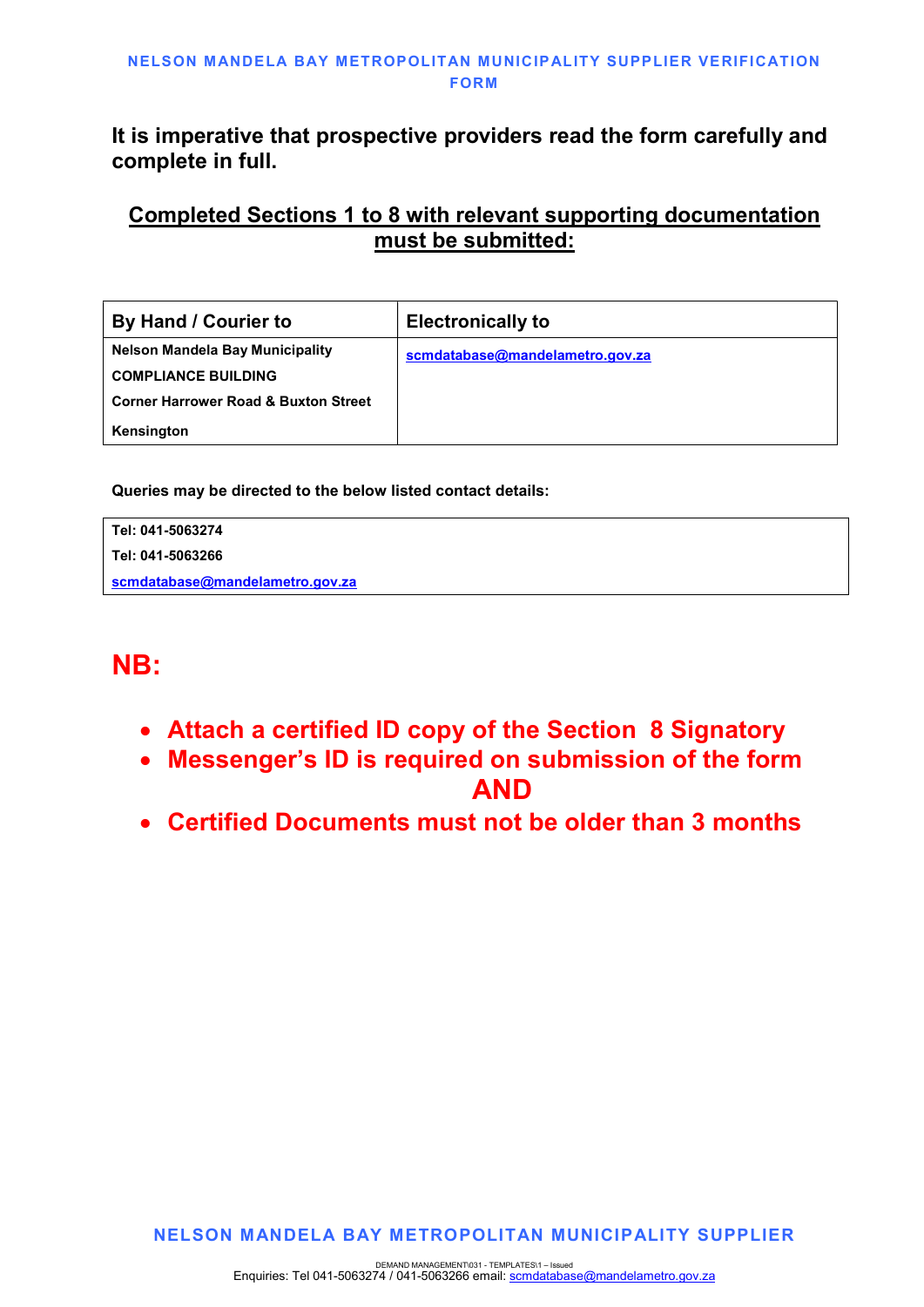# It is imperative that prospective providers read the form carefully and complete in full.

# Completed Sections 1 to 8 with relevant supporting documentation must be submitted:

| By Hand / Courier to                            | <b>Electronically to</b>        |
|-------------------------------------------------|---------------------------------|
| <b>Nelson Mandela Bay Municipality</b>          | scmdatabase@mandelametro.gov.za |
| <b>COMPLIANCE BUILDING</b>                      |                                 |
| <b>Corner Harrower Road &amp; Buxton Street</b> |                                 |
| Kensington                                      |                                 |

Queries may be directed to the below listed contact details:

| Tel: 041-5063274                |  |
|---------------------------------|--|
| Tel: 041-5063266                |  |
| scmdatabase@mandelametro.gov.za |  |

# NB:

- Attach a certified ID copy of the Section 8 Signatory
- Messenger's ID is required on submission of the form AND
- Certified Documents must not be older than 3 months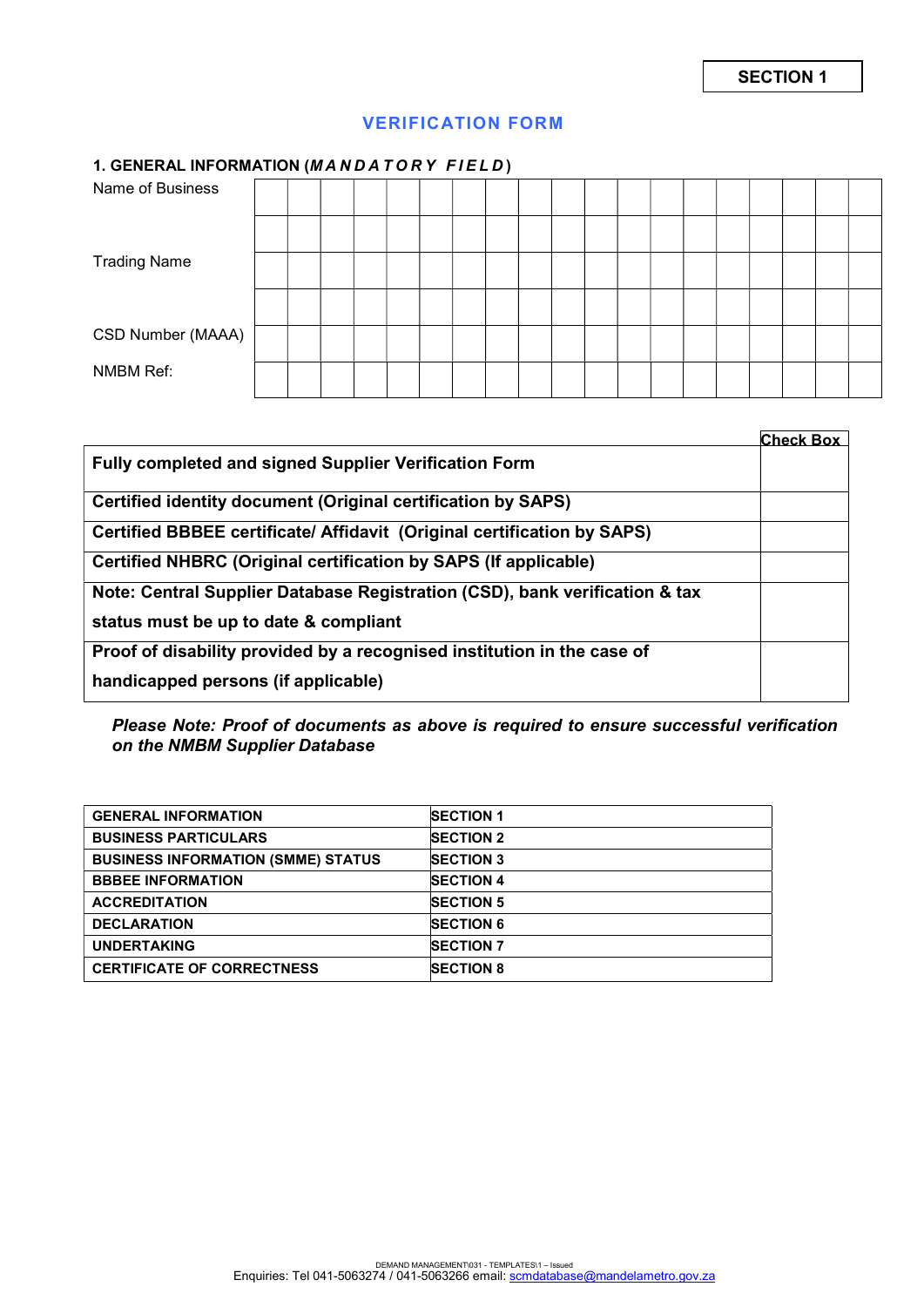# VERIFICATION FORM

## 1. GENERAL INFORMATION (MANDATORY FIELD)

|                     | $\cdot$ |  |  |  |  |  |  |  |  |  |
|---------------------|---------|--|--|--|--|--|--|--|--|--|
| Name of Business    |         |  |  |  |  |  |  |  |  |  |
|                     |         |  |  |  |  |  |  |  |  |  |
| <b>Trading Name</b> |         |  |  |  |  |  |  |  |  |  |
|                     |         |  |  |  |  |  |  |  |  |  |
| CSD Number (MAAA)   |         |  |  |  |  |  |  |  |  |  |
| NMBM Ref:           |         |  |  |  |  |  |  |  |  |  |
|                     |         |  |  |  |  |  |  |  |  |  |

|                                                                                | <b>Check Box</b> |
|--------------------------------------------------------------------------------|------------------|
| Fully completed and signed Supplier Verification Form                          |                  |
| Certified identity document (Original certification by SAPS)                   |                  |
| <b>Certified BBBEE certificate/ Affidavit (Original certification by SAPS)</b> |                  |
| Certified NHBRC (Original certification by SAPS (If applicable)                |                  |
| Note: Central Supplier Database Registration (CSD), bank verification & tax    |                  |
| status must be up to date & compliant                                          |                  |
| Proof of disability provided by a recognised institution in the case of        |                  |
| handicapped persons (if applicable)                                            |                  |

Please Note: Proof of documents as above is required to ensure successful verification on the NMBM Supplier Database

| <b>GENERAL INFORMATION</b>                | <b>SECTION 1</b> |
|-------------------------------------------|------------------|
| <b>BUSINESS PARTICULARS</b>               | <b>SECTION 2</b> |
| <b>BUSINESS INFORMATION (SMME) STATUS</b> | <b>SECTION 3</b> |
| <b>BBBEE INFORMATION</b>                  | <b>SECTION 4</b> |
| <b>ACCREDITATION</b>                      | <b>SECTION 5</b> |
| <b>DECLARATION</b>                        | <b>SECTION 6</b> |
| <b>UNDERTAKING</b>                        | <b>SECTION 7</b> |
| <b>CERTIFICATE OF CORRECTNESS</b>         | <b>SECTION 8</b> |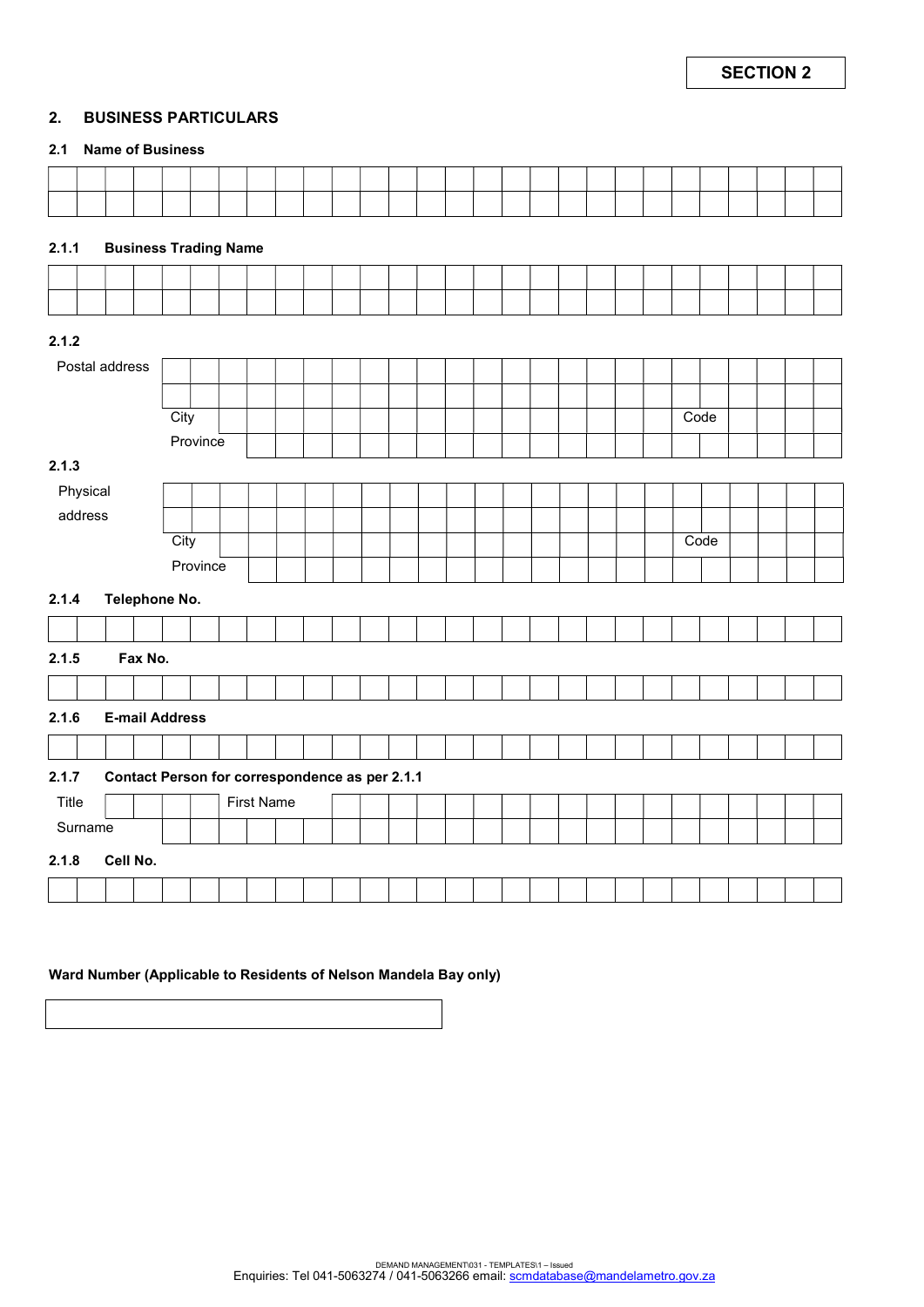#### 2. BUSINESS PARTICULARS

#### 2.1 Name of Business

| 2.1.1          |          | <b>Business Trading Name</b>                   |      |          |  |                   |  |  |  |  |  |  |  |  |  |      |      |  |  |
|----------------|----------|------------------------------------------------|------|----------|--|-------------------|--|--|--|--|--|--|--|--|--|------|------|--|--|
|                |          |                                                |      |          |  |                   |  |  |  |  |  |  |  |  |  |      |      |  |  |
|                |          |                                                |      |          |  |                   |  |  |  |  |  |  |  |  |  |      |      |  |  |
| 2.1.2          |          |                                                |      |          |  |                   |  |  |  |  |  |  |  |  |  |      |      |  |  |
| Postal address |          |                                                |      |          |  |                   |  |  |  |  |  |  |  |  |  |      |      |  |  |
|                |          |                                                |      |          |  |                   |  |  |  |  |  |  |  |  |  |      |      |  |  |
|                |          |                                                | City |          |  |                   |  |  |  |  |  |  |  |  |  | Code |      |  |  |
|                |          |                                                |      | Province |  |                   |  |  |  |  |  |  |  |  |  |      |      |  |  |
| 2.1.3          |          |                                                |      |          |  |                   |  |  |  |  |  |  |  |  |  |      |      |  |  |
| Physical       |          |                                                |      |          |  |                   |  |  |  |  |  |  |  |  |  |      |      |  |  |
| address        |          |                                                |      |          |  |                   |  |  |  |  |  |  |  |  |  |      |      |  |  |
|                |          |                                                | City |          |  |                   |  |  |  |  |  |  |  |  |  |      | Code |  |  |
|                |          |                                                |      | Province |  |                   |  |  |  |  |  |  |  |  |  |      |      |  |  |
|                |          |                                                |      |          |  |                   |  |  |  |  |  |  |  |  |  |      |      |  |  |
| 2.1.4          |          | Telephone No.                                  |      |          |  |                   |  |  |  |  |  |  |  |  |  |      |      |  |  |
|                |          |                                                |      |          |  |                   |  |  |  |  |  |  |  |  |  |      |      |  |  |
| 2.1.5          |          | Fax No.                                        |      |          |  |                   |  |  |  |  |  |  |  |  |  |      |      |  |  |
|                |          |                                                |      |          |  |                   |  |  |  |  |  |  |  |  |  |      |      |  |  |
| 2.1.6          |          | <b>E-mail Address</b>                          |      |          |  |                   |  |  |  |  |  |  |  |  |  |      |      |  |  |
|                |          |                                                |      |          |  |                   |  |  |  |  |  |  |  |  |  |      |      |  |  |
| 2.1.7          |          | Contact Person for correspondence as per 2.1.1 |      |          |  |                   |  |  |  |  |  |  |  |  |  |      |      |  |  |
| Title          |          |                                                |      |          |  | <b>First Name</b> |  |  |  |  |  |  |  |  |  |      |      |  |  |
| Surname        |          |                                                |      |          |  |                   |  |  |  |  |  |  |  |  |  |      |      |  |  |
| 2.1.8          | Cell No. |                                                |      |          |  |                   |  |  |  |  |  |  |  |  |  |      |      |  |  |
|                |          |                                                |      |          |  |                   |  |  |  |  |  |  |  |  |  |      |      |  |  |

#### Ward Number (Applicable to Residents of Nelson Mandela Bay only)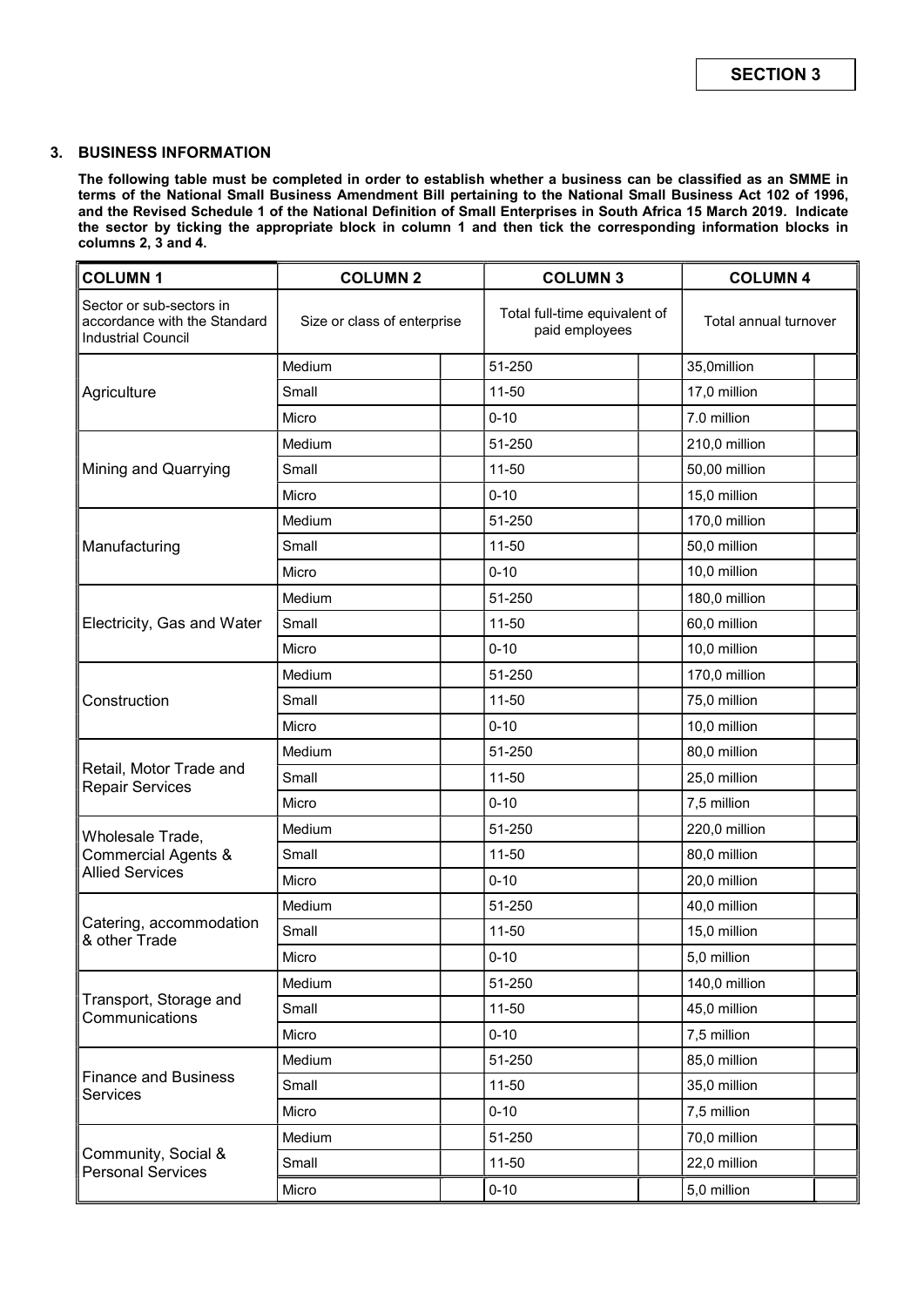#### 3. BUSINESS INFORMATION

The following table must be completed in order to establish whether a business can be classified as an SMME in terms of the National Small Business Amendment Bill pertaining to the National Small Business Act 102 of 1996, and the Revised Schedule 1 of the National Definition of Small Enterprises in South Africa 15 March 2019. Indicate the sector by ticking the appropriate block in column 1 and then tick the corresponding information blocks in columns 2, 3 and 4.

| <b>COLUMN1</b>                                                                        | <b>COLUMN 2</b>             | <b>COLUMN 3</b>                                 | <b>COLUMN 4</b> |                       |  |  |
|---------------------------------------------------------------------------------------|-----------------------------|-------------------------------------------------|-----------------|-----------------------|--|--|
| Sector or sub-sectors in<br>accordance with the Standard<br><b>Industrial Council</b> | Size or class of enterprise | Total full-time equivalent of<br>paid employees |                 | Total annual turnover |  |  |
|                                                                                       | Medium                      | 51-250                                          |                 | 35,0million           |  |  |
| Agriculture                                                                           | Small                       | $11 - 50$                                       |                 | 17,0 million          |  |  |
|                                                                                       | Micro                       | $0 - 10$                                        |                 | 7.0 million           |  |  |
|                                                                                       | Medium                      | 51-250                                          |                 | 210,0 million         |  |  |
| Mining and Quarrying                                                                  | Small                       | $11 - 50$                                       |                 | 50,00 million         |  |  |
|                                                                                       | Micro                       | $0 - 10$                                        |                 | 15,0 million          |  |  |
|                                                                                       | Medium                      | 51-250                                          |                 | 170,0 million         |  |  |
| Manufacturing                                                                         | Small                       | 11-50                                           |                 | 50,0 million          |  |  |
|                                                                                       | Micro                       | $0 - 10$                                        |                 | 10,0 million          |  |  |
|                                                                                       | Medium                      | 51-250                                          |                 | 180,0 million         |  |  |
| Electricity, Gas and Water                                                            | Small                       | $11 - 50$                                       |                 | 60,0 million          |  |  |
|                                                                                       | Micro                       | $0 - 10$                                        |                 | 10,0 million          |  |  |
|                                                                                       | Medium                      | 51-250                                          |                 | 170,0 million         |  |  |
| Construction                                                                          | Small                       | $11 - 50$                                       |                 | 75,0 million          |  |  |
|                                                                                       | Micro                       | $0 - 10$                                        |                 | 10,0 million          |  |  |
|                                                                                       | Medium                      | 51-250                                          |                 | 80,0 million          |  |  |
| Retail, Motor Trade and<br><b>Repair Services</b>                                     | Small                       | 11-50                                           |                 | 25,0 million          |  |  |
|                                                                                       | Micro                       | $0 - 10$                                        |                 | 7,5 million           |  |  |
| Wholesale Trade,                                                                      | Medium                      | 51-250                                          |                 | 220,0 million         |  |  |
| <b>Commercial Agents &amp;</b>                                                        | Small                       | $11 - 50$                                       |                 | 80,0 million          |  |  |
| <b>Allied Services</b>                                                                | Micro                       | $0 - 10$                                        |                 | 20,0 million          |  |  |
|                                                                                       | Medium                      | 51-250                                          |                 | 40,0 million          |  |  |
| Catering, accommodation<br>& other Trade                                              | Small                       | 11-50                                           |                 | 15,0 million          |  |  |
|                                                                                       | Micro                       | $0 - 10$                                        |                 | 5,0 million           |  |  |
|                                                                                       | Medium                      | 51-250                                          |                 | 140,0 million         |  |  |
| Transport, Storage and<br>Communications                                              | Small                       | 11-50                                           |                 | 45,0 million          |  |  |
|                                                                                       | Micro                       | $0 - 10$                                        |                 | 7,5 million           |  |  |
|                                                                                       | Medium                      | 51-250                                          |                 | 85,0 million          |  |  |
| <b>Finance and Business</b><br>Services                                               | Small                       | $11 - 50$                                       |                 | 35,0 million          |  |  |
|                                                                                       | Micro                       | $0 - 10$                                        |                 | 7,5 million           |  |  |
|                                                                                       | Medium                      | 51-250                                          |                 | 70,0 million          |  |  |
| Community, Social &<br><b>Personal Services</b>                                       | Small                       | $11 - 50$                                       |                 | 22,0 million          |  |  |
|                                                                                       | Micro                       | $0 - 10$                                        |                 | 5,0 million           |  |  |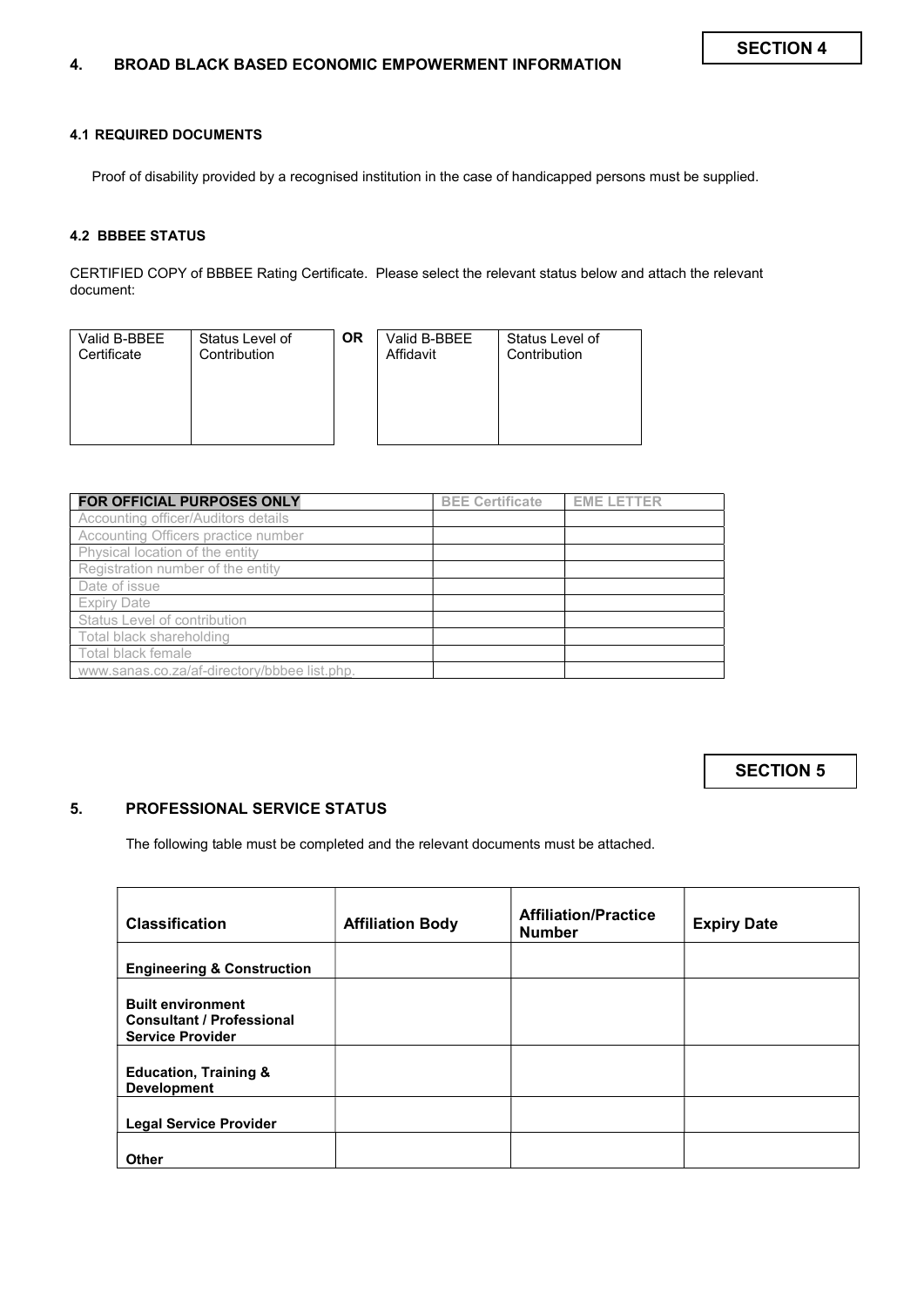#### 4.1 REQUIRED DOCUMENTS

Proof of disability provided by a recognised institution in the case of handicapped persons must be supplied.

#### 4.2 BBBEE STATUS

CERTIFIED COPY of BBBEE Rating Certificate. Please select the relevant status below and attach the relevant document:

| Valid B-BBEE | Status Level of | ΟR | Valid B-BBEE | Status Level of |
|--------------|-----------------|----|--------------|-----------------|
| Certificate  | Contribution    |    | Affidavit    | Contribution    |
|              |                 |    |              |                 |

| <b>FOR OFFICIAL PURPOSES ONLY</b>            | <b>BEE Certificate</b> | <b>EME LETTER</b> |
|----------------------------------------------|------------------------|-------------------|
| Accounting officer/Auditors details          |                        |                   |
| Accounting Officers practice number          |                        |                   |
| Physical location of the entity              |                        |                   |
| Registration number of the entity            |                        |                   |
| Date of issue                                |                        |                   |
| <b>Expiry Date</b>                           |                        |                   |
| Status Level of contribution                 |                        |                   |
| Total black shareholding                     |                        |                   |
| Total black female                           |                        |                   |
| www.sanas.co.za/af-directory/bbbee list.php. |                        |                   |

SECTION 5

## 5. PROFESSIONAL SERVICE STATUS

The following table must be completed and the relevant documents must be attached.

| <b>Classification</b>                                                                   | <b>Affiliation Body</b> | <b>Affiliation/Practice</b><br><b>Number</b> | <b>Expiry Date</b> |
|-----------------------------------------------------------------------------------------|-------------------------|----------------------------------------------|--------------------|
| <b>Engineering &amp; Construction</b>                                                   |                         |                                              |                    |
| <b>Built environment</b><br><b>Consultant / Professional</b><br><b>Service Provider</b> |                         |                                              |                    |
| <b>Education, Training &amp;</b><br><b>Development</b>                                  |                         |                                              |                    |
| <b>Legal Service Provider</b>                                                           |                         |                                              |                    |
| <b>Other</b>                                                                            |                         |                                              |                    |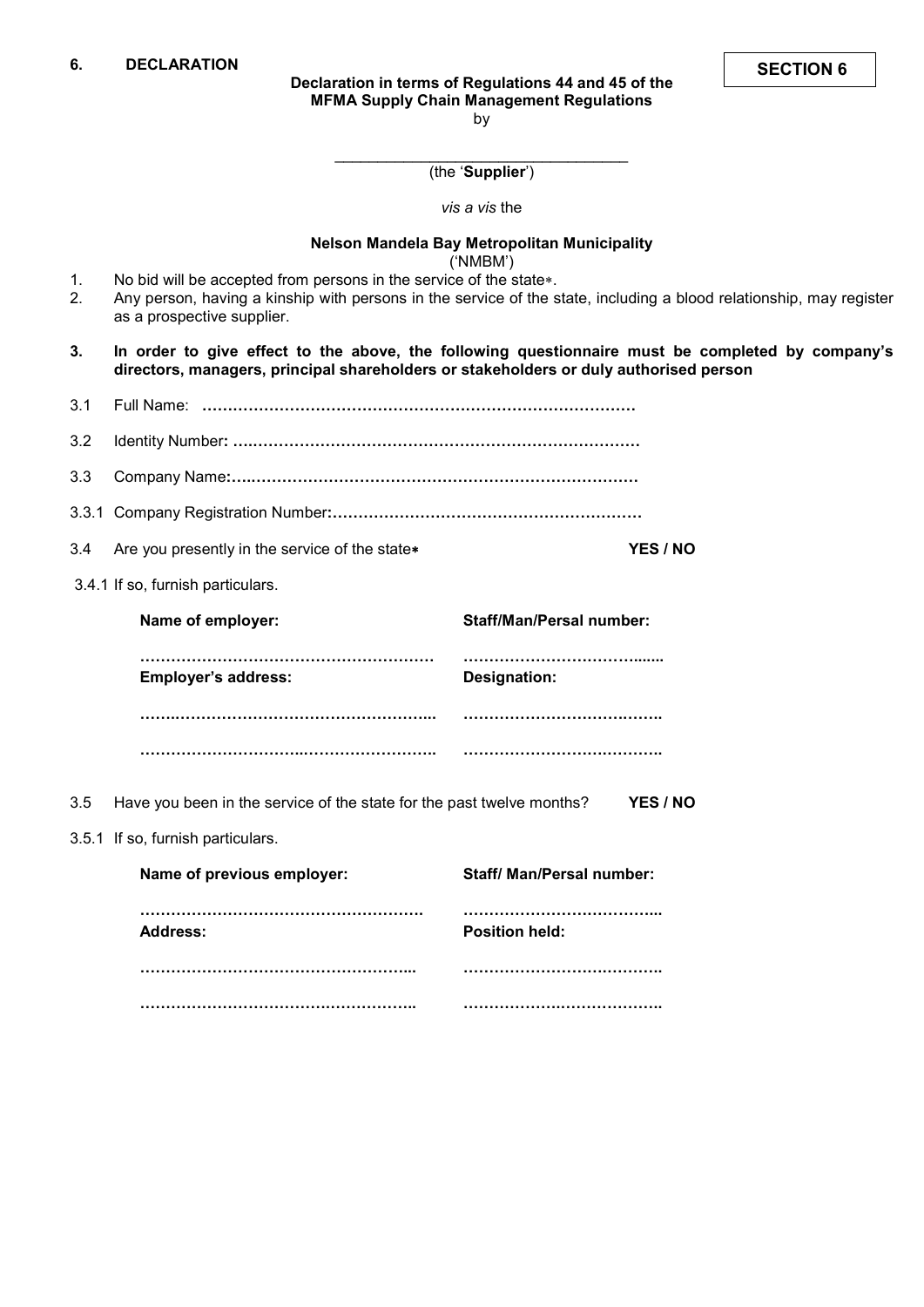\_\_\_\_\_\_\_\_\_\_\_\_\_\_\_\_\_\_\_\_\_\_\_\_\_\_\_\_\_\_\_\_\_\_ (the 'Supplier')

vis a vis the

### Nelson Mandela Bay Metropolitan Municipality

('NMBM')

- 1. No bid will be accepted from persons in the service of the state \*.<br>2. Any person, having a kinship with persons in the service of the s Any person, having a kinship with persons in the service of the state, including a blood relationship, may register
- as a prospective supplier.
- 3. In order to give effect to the above, the following questionnaire must be completed by company's directors, managers, principal shareholders or stakeholders or duly authorised person

| 3.1 |                                                                       |                                 |  |  |  |  |  |
|-----|-----------------------------------------------------------------------|---------------------------------|--|--|--|--|--|
| 3.2 |                                                                       |                                 |  |  |  |  |  |
| 3.3 |                                                                       |                                 |  |  |  |  |  |
|     |                                                                       |                                 |  |  |  |  |  |
| 3.4 | Are you presently in the service of the state*<br>YES / NO            |                                 |  |  |  |  |  |
|     | 3.4.1 If so, furnish particulars.                                     |                                 |  |  |  |  |  |
|     | Name of employer:                                                     | <b>Staff/Man/Persal number:</b> |  |  |  |  |  |
|     | <b>Employer's address:</b>                                            | <b>Designation:</b>             |  |  |  |  |  |
|     |                                                                       |                                 |  |  |  |  |  |
|     |                                                                       |                                 |  |  |  |  |  |
| 3.5 | Have you been in the service of the state for the past twelve months? | YES / NO                        |  |  |  |  |  |
|     | 3.5.1 If so, furnish particulars.                                     |                                 |  |  |  |  |  |
|     | Name of previous employer:                                            | Staff/ Man/Persal number:       |  |  |  |  |  |
|     | <b>Address:</b>                                                       | <b>Position held:</b>           |  |  |  |  |  |
|     |                                                                       |                                 |  |  |  |  |  |
|     |                                                                       |                                 |  |  |  |  |  |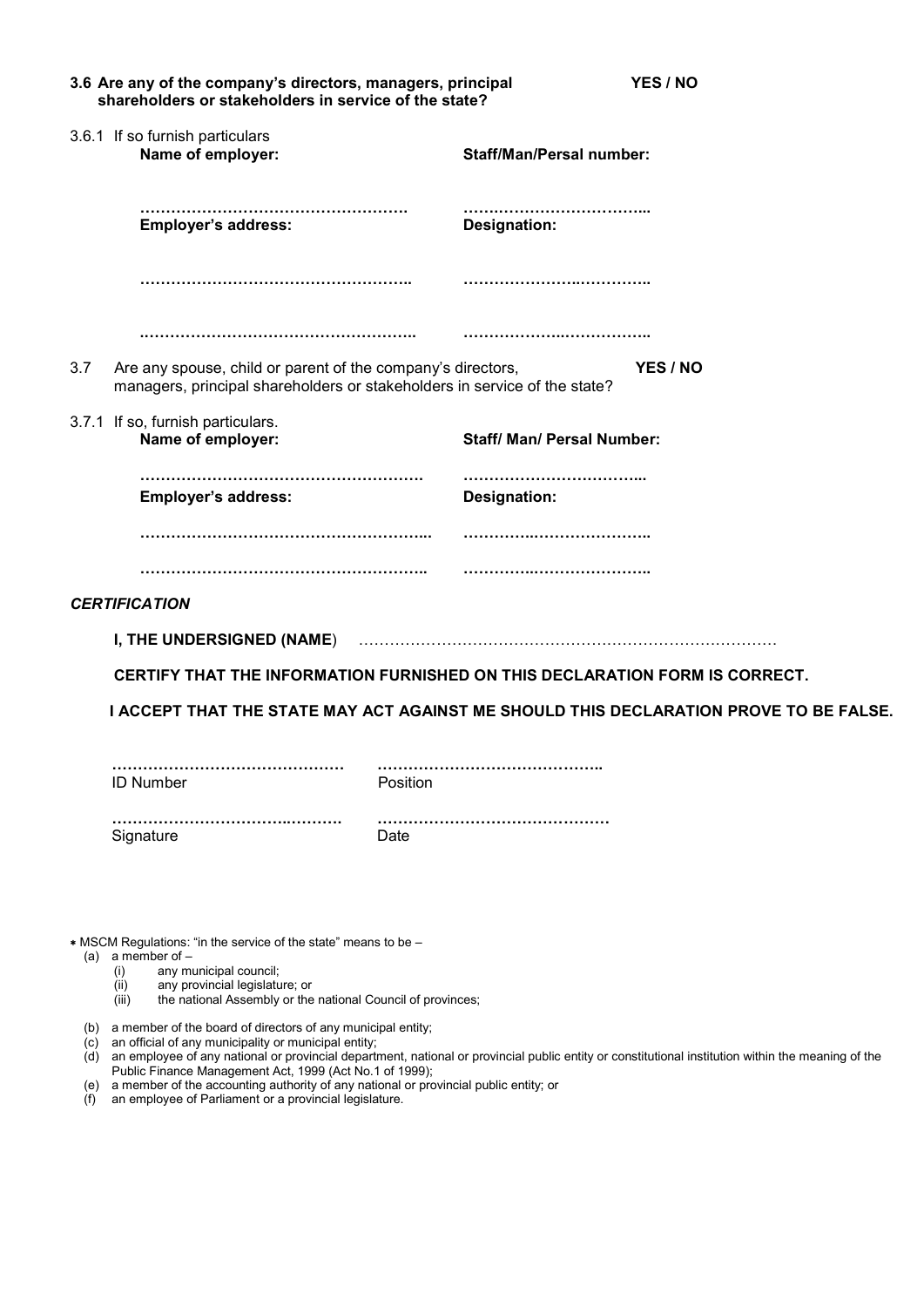|     | 3.6 Are any of the company's directors, managers, principal<br>shareholders or stakeholders in service of the state?                     | YES / NO                          |                                                                                       |
|-----|------------------------------------------------------------------------------------------------------------------------------------------|-----------------------------------|---------------------------------------------------------------------------------------|
|     | 3.6.1 If so furnish particulars<br>Name of employer:                                                                                     | <b>Staff/Man/Persal number:</b>   |                                                                                       |
|     | <b>Employer's address:</b>                                                                                                               | <b>Designation:</b>               |                                                                                       |
|     |                                                                                                                                          |                                   |                                                                                       |
|     |                                                                                                                                          |                                   |                                                                                       |
| 3.7 | Are any spouse, child or parent of the company's directors,<br>managers, principal shareholders or stakeholders in service of the state? |                                   | YES / NO                                                                              |
|     | 3.7.1 If so, furnish particulars.<br>Name of employer:                                                                                   | <b>Staff/ Man/ Persal Number:</b> |                                                                                       |
|     | <b>Employer's address:</b>                                                                                                               | <br>Designation:                  |                                                                                       |
|     |                                                                                                                                          |                                   |                                                                                       |
|     |                                                                                                                                          |                                   |                                                                                       |
|     | <b>CERTIFICATION</b>                                                                                                                     |                                   |                                                                                       |
|     | I, THE UNDERSIGNED (NAME)  ………………………………………………………………………                                                                                   |                                   |                                                                                       |
|     | CERTIFY THAT THE INFORMATION FURNISHED ON THIS DECLARATION FORM IS CORRECT.                                                              |                                   |                                                                                       |
|     |                                                                                                                                          |                                   | I ACCEPT THAT THE STATE MAY ACT AGAINST ME SHOULD THIS DECLARATION PROVE TO BE FALSE. |
|     | <b>ID Number</b>                                                                                                                         | Position                          |                                                                                       |
|     | Signature                                                                                                                                | Date                              |                                                                                       |
|     |                                                                                                                                          |                                   |                                                                                       |

MSCM Regulations: "in the service of the state" means to be –

- (a) a member of  $-$ 
	- (i) any municipal council;
	- (ii) any provincial legislature; or
	- (iii) the national Assembly or the national Council of provinces;
- (b) a member of the board of directors of any municipal entity;
- (c) an official of any municipality or municipal entity;
- (d) an employee of any national or provincial department, national or provincial public entity or constitutional institution within the meaning of the Public Finance Management Act, 1999 (Act No.1 of 1999);
- (e) a member of the accounting authority of any national or provincial public entity; or
- (f) an employee of Parliament or a provincial legislature.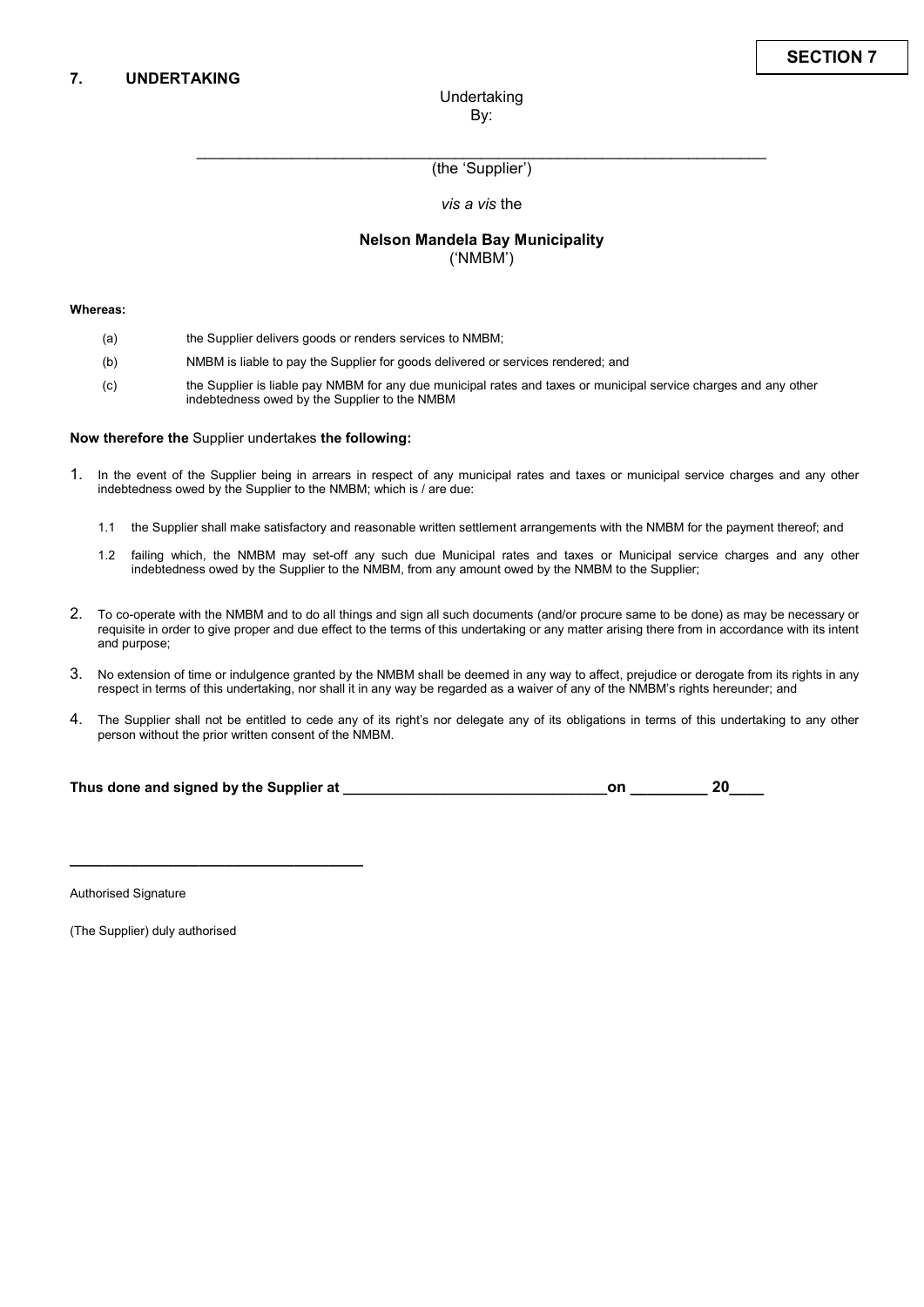\_\_\_\_\_\_\_\_\_\_\_\_\_\_\_\_\_\_\_\_\_\_\_\_\_\_\_\_\_\_\_\_\_\_\_\_\_\_\_\_\_\_\_\_\_\_\_\_\_\_\_\_\_\_\_\_\_\_\_\_\_\_\_\_\_\_ (the 'Supplier')

vis a vis the

#### Nelson Mandela Bay Municipality ('NMBM')

#### Whereas:

- (a) the Supplier delivers goods or renders services to NMBM;
- (b) NMBM is liable to pay the Supplier for goods delivered or services rendered; and
- (c) the Supplier is liable pay NMBM for any due municipal rates and taxes or municipal service charges and any other indebtedness owed by the Supplier to the NMBM

#### Now therefore the Supplier undertakes the following:

- 1. In the event of the Supplier being in arrears in respect of any municipal rates and taxes or municipal service charges and any other indebtedness owed by the Supplier to the NMBM; which is / are due:
	- 1.1 the Supplier shall make satisfactory and reasonable written settlement arrangements with the NMBM for the payment thereof; and
	- 1.2 failing which, the NMBM may set-off any such due Municipal rates and taxes or Municipal service charges and any other indebtedness owed by the Supplier to the NMBM, from any amount owed by the NMBM to the Supplier;
- 2. To co-operate with the NMBM and to do all things and sign all such documents (and/or procure same to be done) as may be necessary or requisite in order to give proper and due effect to the terms of this undertaking or any matter arising there from in accordance with its intent and purpose;
- 3. No extension of time or indulgence granted by the NMBM shall be deemed in any way to affect, prejudice or derogate from its rights in any respect in terms of this undertaking, nor shall it in any way be regarded as a waiver of any of the NMBM's rights hereunder; and
- 4. The Supplier shall not be entitled to cede any of its right's nor delegate any of its obligations in terms of this undertaking to any other person without the prior written consent of the NMBM.

| Thus done and signed by the Supplier at |  | 20 |  |
|-----------------------------------------|--|----|--|
|-----------------------------------------|--|----|--|

Authorised Signature

(The Supplier) duly authorised

 $\_$